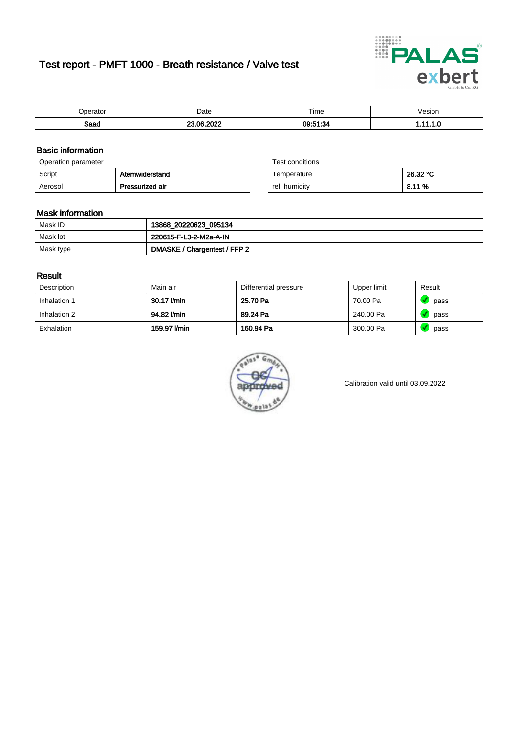## Test report - PMFT 1000 - Breath resistance / Valve test



| )perator | Date                      | $- \cdot$<br>rime | /esion |
|----------|---------------------------|-------------------|--------|
| Saad     | ാറാറ<br>$\sim$<br>7. J.Z. | 09:51:34          | .      |

### Basic information

| Operation parameter |                 | Test conditions |          |
|---------------------|-----------------|-----------------|----------|
| Script              | Atemwiderstand  | Temperature     | 26.32 °C |
| Aerosol             | Pressurized air | rel. humiditv   | 8.11 %   |

| Test conditions |          |
|-----------------|----------|
| Temperature     | 26.32 °C |
| rel. humidity   | 8.11 %   |

### Mask information

| Mask ID   | 13868_20220623_095134        |
|-----------|------------------------------|
| Mask lot  | 220615-F-L3-2-M2a-A-IN       |
| Mask type | DMASKE / Chargentest / FFP 2 |

### Result

| Description  | Main air     | Differential pressure | Upper limit | Result |
|--------------|--------------|-----------------------|-------------|--------|
| Inhalation 1 | 30.17 l/min  | 25.70 Pa              | 70.00 Pa    | pass   |
| Inhalation 2 | 94.82 l/min  | 89.24 Pa              | 240.00 Pa   | pass   |
| Exhalation   | 159.97 l/min | 160.94 Pa             | 300.00 Pa   | pass   |



Calibration valid until 03.09.2022